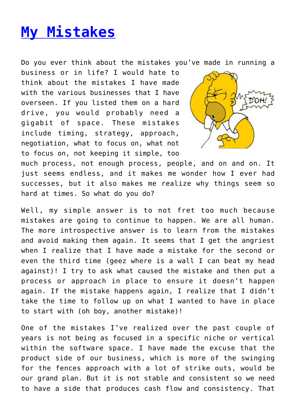## **[My Mistakes](http://anentrepreneurialjourney.com/my-mistakes/)**

Do you ever think about the mistakes you've made in running a

business or in life? I would hate to think about the mistakes I have made with the various businesses that I have overseen. If you listed them on a hard drive, you would probably need a gigabit of space. These mistakes include timing, strategy, approach, negotiation, what to focus on, what not to focus on, not keeping it simple, too



much process, not enough process, people, and on and on. It just seems endless, and it makes me wonder how I ever had successes, but it also makes me realize why things seem so hard at times. So what do you do?

Well, my simple answer is to not fret too much because mistakes are going to continue to happen. We are all human. The more introspective answer is to learn from the mistakes and avoid making them again. It seems that I get the angriest when I realize that I have made a mistake for the second or even the third time (geez where is a wall I can beat my head against)! I try to ask what caused the mistake and then put a process or approach in place to ensure it doesn't happen again. If the mistake happens again, I realize that I didn't take the time to follow up on what I wanted to have in place to start with (oh boy, another mistake)!

One of the mistakes I've realized over the past couple of years is not being as focused in a specific niche or vertical within the software space. I have made the excuse that the product side of our business, which is more of the swinging for the fences approach with a lot of strike outs, would be our grand plan. But it is not stable and consistent so we need to have a side that produces cash flow and consistency. That